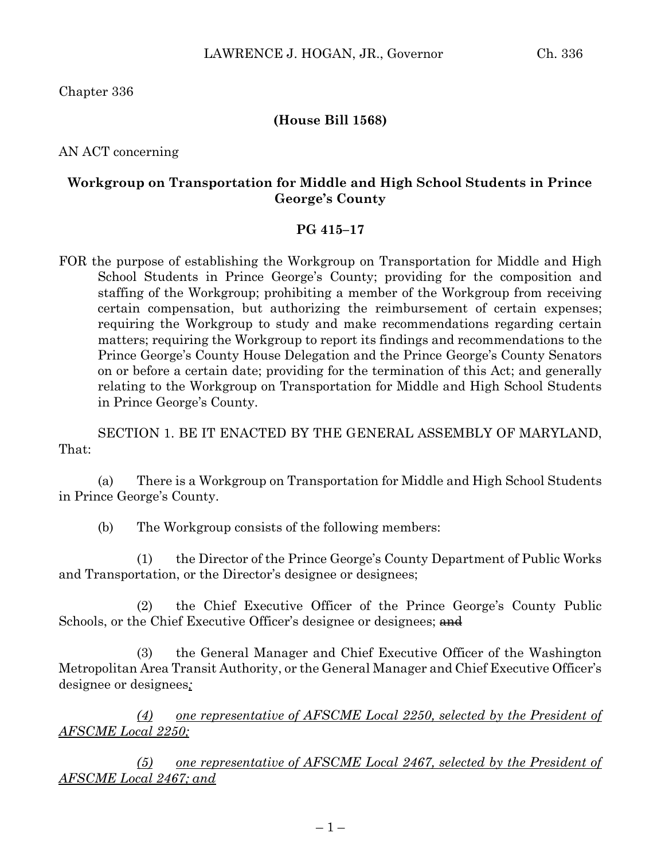Chapter 336

# **(House Bill 1568)**

AN ACT concerning

# **Workgroup on Transportation for Middle and High School Students in Prince George's County**

### **PG 415–17**

FOR the purpose of establishing the Workgroup on Transportation for Middle and High School Students in Prince George's County; providing for the composition and staffing of the Workgroup; prohibiting a member of the Workgroup from receiving certain compensation, but authorizing the reimbursement of certain expenses; requiring the Workgroup to study and make recommendations regarding certain matters; requiring the Workgroup to report its findings and recommendations to the Prince George's County House Delegation and the Prince George's County Senators on or before a certain date; providing for the termination of this Act; and generally relating to the Workgroup on Transportation for Middle and High School Students in Prince George's County.

SECTION 1. BE IT ENACTED BY THE GENERAL ASSEMBLY OF MARYLAND, That:

(a) There is a Workgroup on Transportation for Middle and High School Students in Prince George's County.

(b) The Workgroup consists of the following members:

(1) the Director of the Prince George's County Department of Public Works and Transportation, or the Director's designee or designees;

(2) the Chief Executive Officer of the Prince George's County Public Schools, or the Chief Executive Officer's designee or designees; and

(3) the General Manager and Chief Executive Officer of the Washington Metropolitan Area Transit Authority, or the General Manager and Chief Executive Officer's designee or designees*;*

*(4) one representative of AFSCME Local 2250, selected by the President of AFSCME Local 2250;*

*(5) one representative of AFSCME Local 2467, selected by the President of AFSCME Local 2467; and*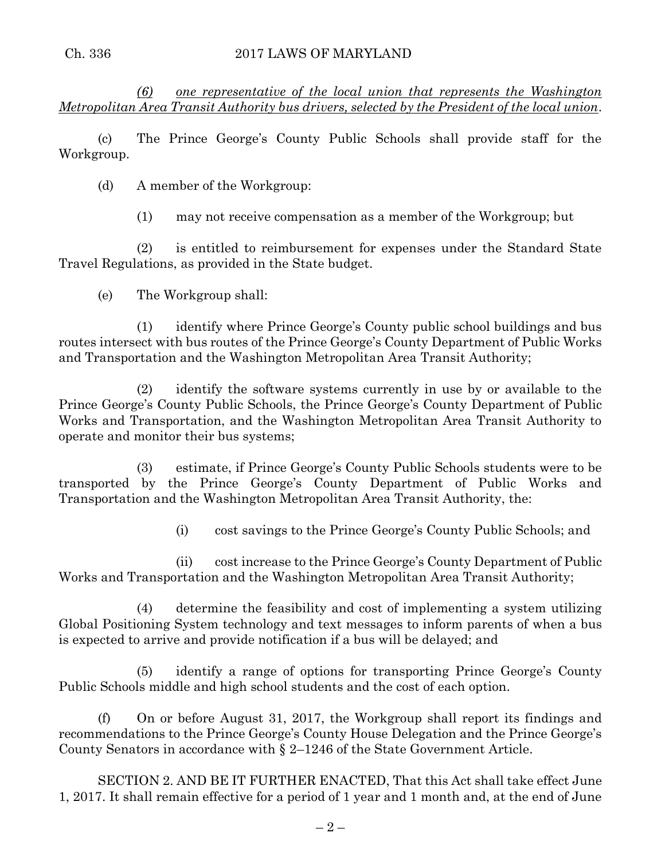*(6) one representative of the local union that represents the Washington Metropolitan Area Transit Authority bus drivers, selected by the President of the local union*.

(c) The Prince George's County Public Schools shall provide staff for the Workgroup.

(d) A member of the Workgroup:

(1) may not receive compensation as a member of the Workgroup; but

(2) is entitled to reimbursement for expenses under the Standard State Travel Regulations, as provided in the State budget.

(e) The Workgroup shall:

(1) identify where Prince George's County public school buildings and bus routes intersect with bus routes of the Prince George's County Department of Public Works and Transportation and the Washington Metropolitan Area Transit Authority;

(2) identify the software systems currently in use by or available to the Prince George's County Public Schools, the Prince George's County Department of Public Works and Transportation, and the Washington Metropolitan Area Transit Authority to operate and monitor their bus systems;

(3) estimate, if Prince George's County Public Schools students were to be transported by the Prince George's County Department of Public Works and Transportation and the Washington Metropolitan Area Transit Authority, the:

(i) cost savings to the Prince George's County Public Schools; and

(ii) cost increase to the Prince George's County Department of Public Works and Transportation and the Washington Metropolitan Area Transit Authority;

(4) determine the feasibility and cost of implementing a system utilizing Global Positioning System technology and text messages to inform parents of when a bus is expected to arrive and provide notification if a bus will be delayed; and

(5) identify a range of options for transporting Prince George's County Public Schools middle and high school students and the cost of each option.

(f) On or before August 31, 2017, the Workgroup shall report its findings and recommendations to the Prince George's County House Delegation and the Prince George's County Senators in accordance with § 2–1246 of the State Government Article.

SECTION 2. AND BE IT FURTHER ENACTED, That this Act shall take effect June 1, 2017. It shall remain effective for a period of 1 year and 1 month and, at the end of June